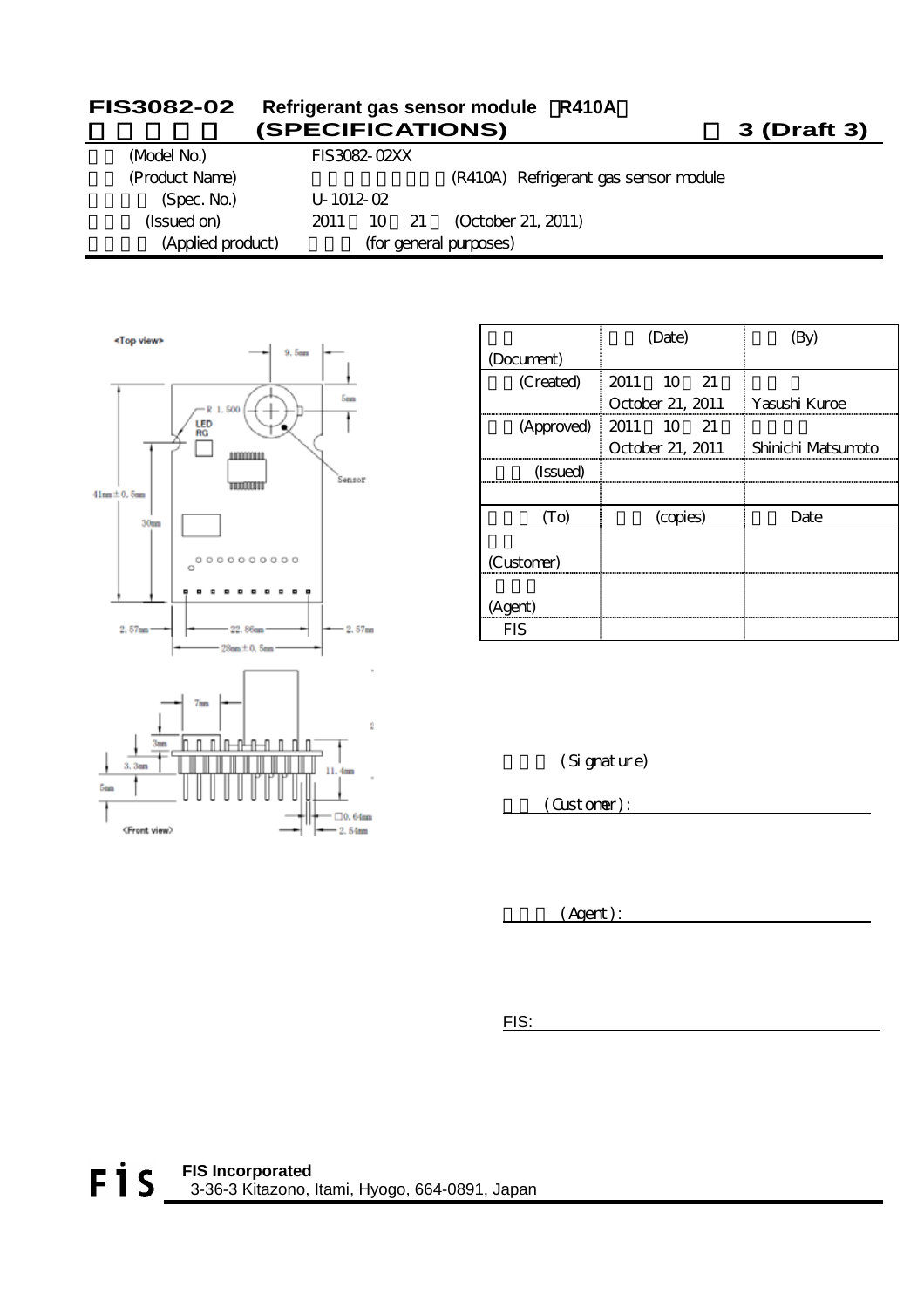| <b>FIS3082-02</b>             | Refrigerant gas sensor module R410A<br>(SPECIFICATIONS) |                                       | 3 (Draft 3) |
|-------------------------------|---------------------------------------------------------|---------------------------------------|-------------|
| (Model No.)<br>(Product Name) | FIS3082-02XX                                            | (R410A) Refrigerant gas sensor module |             |

| (Spec. No.)       | $U - 1012 - 02$ |  |                          |  |
|-------------------|-----------------|--|--------------------------|--|
| (Issued on)       | 2011            |  | 10 21 (October 21, 2011) |  |
| (Applied product) |                 |  | (for general purposes)   |  |



|            | (Date)                  |                    |
|------------|-------------------------|--------------------|
| (Document) |                         |                    |
| (Created)  | 2011 10 21              |                    |
|            | October 21, 2011        | † Yasushi Kuroe    |
|            | (Approved)   2011 10 21 |                    |
|            | October 21, 2011        | Shinichi Matsumoto |
| (Issued)   |                         |                    |
|            |                         |                    |
| (To)       | (copies)                | Date               |
|            |                         |                    |
| (Customer) |                         |                    |
|            |                         |                    |
| (Agent)    |                         |                    |
| FIS        |                         |                    |

(Signature)

(Customer):

(Agent):

FIS:

 **FIS Incorporated** 3-36-3 Kitazono, Itami, Hyogo, 664-0891, Japan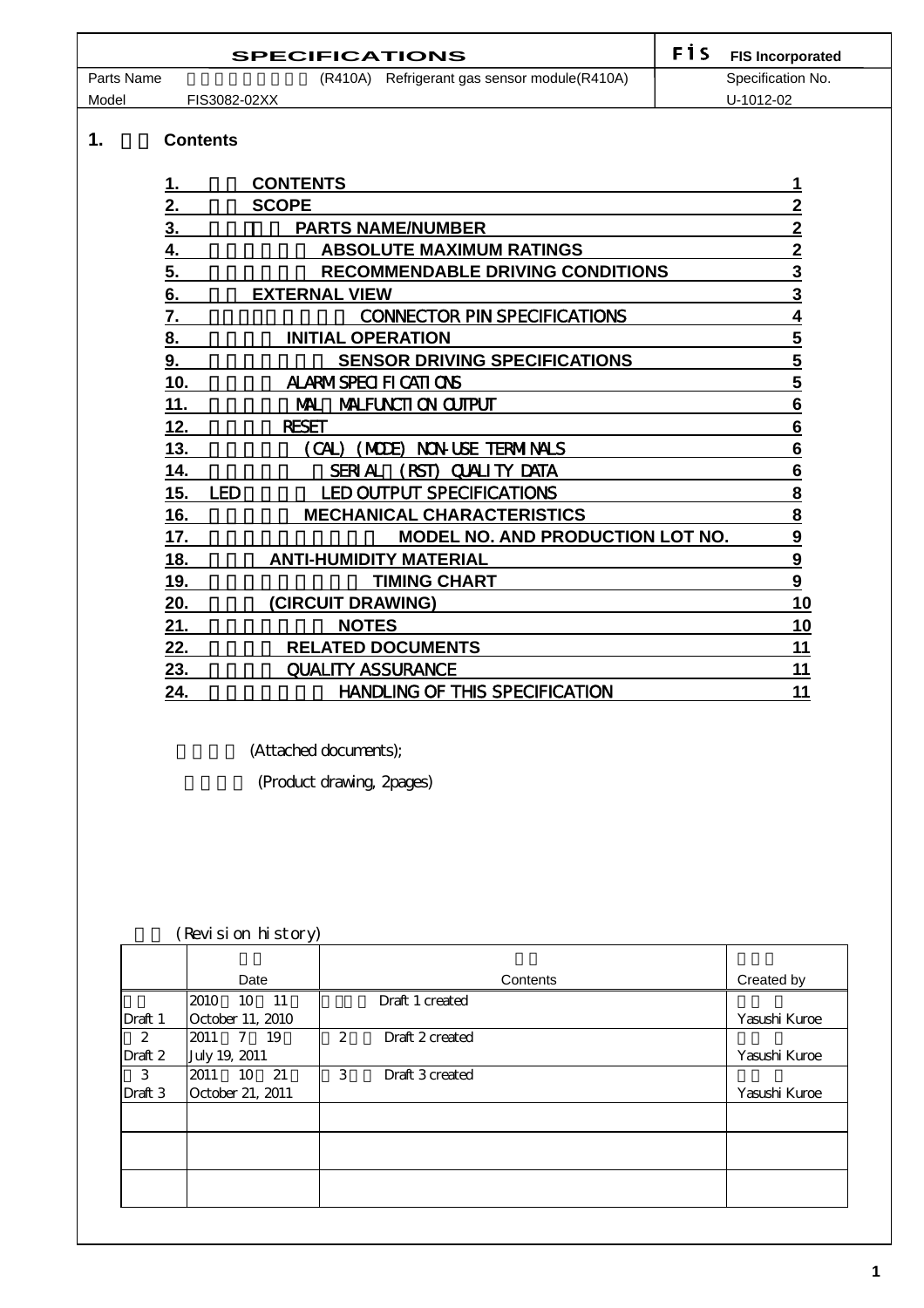| <b>SPECIFICATIONS</b> |                                               |  | <b>FIS</b> FIS Incorporated |
|-----------------------|-----------------------------------------------|--|-----------------------------|
| Parts Name            | (R410A) Refrigerant gas sensor module (R410A) |  | Specification No.           |
| Model                 | FIS3082-02XX                                  |  | U-1012-02                   |

### 1. **Contents**

| <u>2.</u><br><b>SCOPE</b><br><u>3.</u><br><b>PARTS NAME/NUMBER</b><br><b>ABSOLUTE MAXIMUM RATINGS</b><br><u>4.</u><br><u>5.</u><br><b>RECOMMENDABLE DRIVING CONDITIONS</b><br>6.<br><b>EXTERNAL VIEW</b> | $\mathbf{2}$<br>$\mathbf 2$<br>$\overline{\mathbf{2}}$<br>$\overline{3}$<br>$\overline{3}$<br>4<br>5<br>$\overline{\mathbf{5}}$ |
|----------------------------------------------------------------------------------------------------------------------------------------------------------------------------------------------------------|---------------------------------------------------------------------------------------------------------------------------------|
|                                                                                                                                                                                                          |                                                                                                                                 |
|                                                                                                                                                                                                          |                                                                                                                                 |
|                                                                                                                                                                                                          |                                                                                                                                 |
|                                                                                                                                                                                                          |                                                                                                                                 |
|                                                                                                                                                                                                          |                                                                                                                                 |
| <b>CONNECTOR PIN SPECIFICATIONS</b><br>7.                                                                                                                                                                |                                                                                                                                 |
| 8.<br><b>INITIAL OPERATION</b>                                                                                                                                                                           |                                                                                                                                 |
| <b>SENSOR DRIVING SPECIFICATIONS</b><br><u>9.</u>                                                                                                                                                        |                                                                                                                                 |
| 10.<br>ALARMSPECIFICATIONS                                                                                                                                                                               | $\overline{\mathbf{5}}$                                                                                                         |
| MALFUNCTION CUTPUT<br>11.<br>M.                                                                                                                                                                          | $6\overline{6}$                                                                                                                 |
| 12.<br><b>RESET</b>                                                                                                                                                                                      | 6                                                                                                                               |
| 13.<br>(MODE) NON-USE TERMINALS<br>(CAL)                                                                                                                                                                 | 6                                                                                                                               |
| 14.<br><b>QUALITY DATA</b><br>seri al<br>(RST)                                                                                                                                                           | 6                                                                                                                               |
| 15.<br><b>LED OUTPUT SPECIFICATIONS</b><br><b>LED</b>                                                                                                                                                    | $\overline{\mathbf{8}}$                                                                                                         |
| 16.<br><b>MECHANICAL CHARACTERISTICS</b>                                                                                                                                                                 | $\overline{\mathbf{8}}$                                                                                                         |
| 17.<br>MODEL NO. AND PRODUCTION LOT NO.                                                                                                                                                                  | 9                                                                                                                               |
| 18.<br><b>ANTI-HUMIDITY MATERIAL</b>                                                                                                                                                                     | 9                                                                                                                               |
| 19.<br><b>TIMING CHART</b>                                                                                                                                                                               | $\boldsymbol{9}$                                                                                                                |
| 20.<br>(CIRCUIT DRAWING)                                                                                                                                                                                 | 10                                                                                                                              |
| 21.<br><b>NOTES</b>                                                                                                                                                                                      | 10                                                                                                                              |
| 22.<br><b>RELATED DOCUMENTS</b>                                                                                                                                                                          | 11                                                                                                                              |
| 23.<br><b>QUALITY ASSURANCE</b>                                                                                                                                                                          | 11                                                                                                                              |
| 24.<br><b>HANDLING OF THIS SPECIFICATION</b>                                                                                                                                                             | 11                                                                                                                              |

(Attached documents);

(Product drawing, 2pages)

|                         | Date                                            | Contents                                 | Created by    |
|-------------------------|-------------------------------------------------|------------------------------------------|---------------|
| Draft 1                 | 2010<br><sup>11</sup><br>10<br>October 11, 2010 | Draft 1 created                          | Yasushi Kuroe |
| $\mathbf{2}$<br>Draft 2 | 7 19<br>2011<br>July 19, 2011                   | $\mathbf{2}^{\prime}$<br>Draft 2 created | Yasushi Kuroe |
| 3<br>Draft 3            | 2011<br>10 21<br>October 21, 2011               | 3<br>Draft 3 created                     | Yasushi Kuroe |
|                         |                                                 |                                          |               |
|                         |                                                 |                                          |               |
|                         |                                                 |                                          |               |

履歴 (Revision history)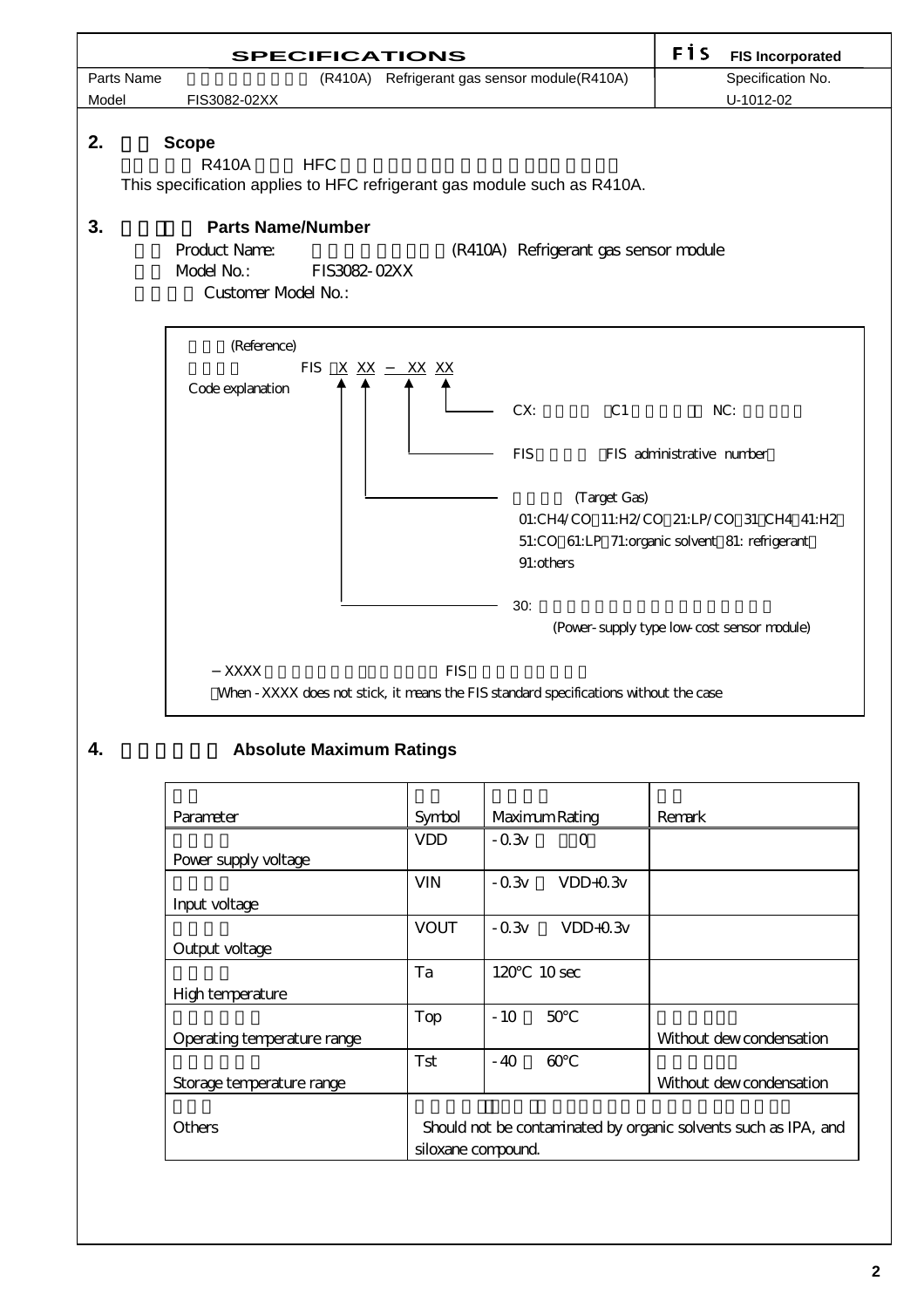

| Parameter                   | Symbol                                                          | Maximum Rating           | Remark                   |
|-----------------------------|-----------------------------------------------------------------|--------------------------|--------------------------|
|                             | <b>VDD</b>                                                      | $-0.3v$<br>$\Omega$      |                          |
| Power supply voltage        |                                                                 |                          |                          |
|                             | <b>VIN</b>                                                      | $-0.3v$<br>$VDD+0.3v$    |                          |
| Input voltage               |                                                                 |                          |                          |
|                             | <b>VOUT</b>                                                     | $-0.3v$<br>$VDD+0.3v$    |                          |
| Output voltage              |                                                                 |                          |                          |
|                             | Ta                                                              | 120<br>10 <sub>sec</sub> |                          |
| High temperature            |                                                                 |                          |                          |
|                             | Top                                                             | $-10$<br>50              |                          |
| Operating temperature range |                                                                 |                          | Without dew condensation |
|                             | <b>Tst</b>                                                      | $-40$<br>60              |                          |
| Storage temperature range   |                                                                 |                          | Without dew condensation |
|                             |                                                                 |                          |                          |
| Others                      | Should not be contaminated by organic solvents such as IPA, and |                          |                          |
|                             | siloxane compound.                                              |                          |                          |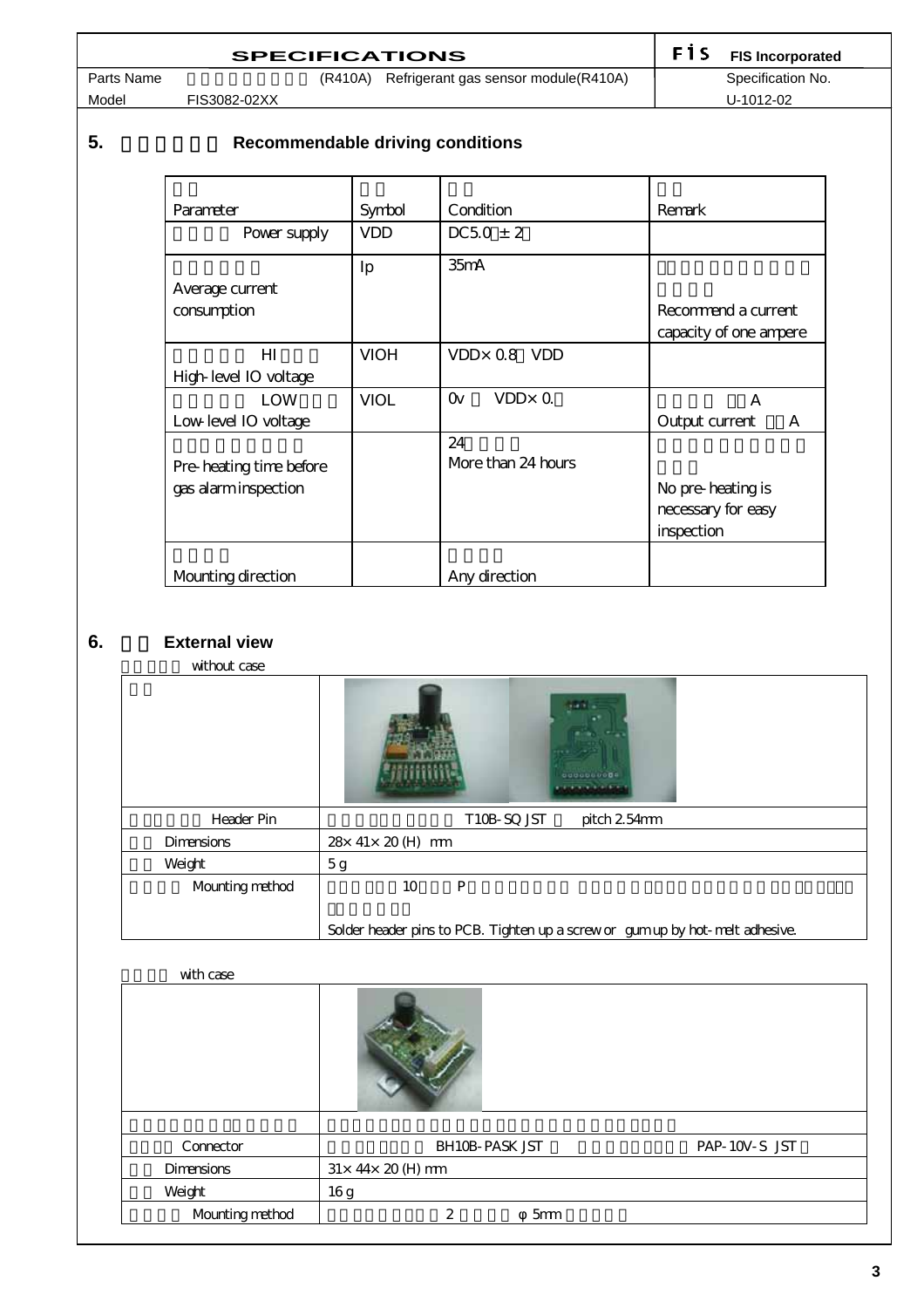| <b>SPECIFICATIONS</b> |                                              |  | $\mathsf{F}$ <b>F</b> 1 S FIS Incorporated |
|-----------------------|----------------------------------------------|--|--------------------------------------------|
| Parts Name            | (R410A) Refrigerant gas sensor module(R410A) |  | Specification No.                          |
| Model                 | FIS3082-02XX                                 |  | U-1012-02                                  |

# **5. Recommendable driving conditions**

| Parameter               | Symbol      | Condition                  | Remark                 |
|-------------------------|-------------|----------------------------|------------------------|
| Power supply            | <b>VDD</b>  | $DC50 \pm 2$               |                        |
|                         | Ip          | $35m$ A                    |                        |
| Average current         |             |                            |                        |
| consumption             |             |                            | Recommend a current    |
|                         |             |                            | capacity of one ampere |
| HI                      | <b>VIOH</b> | VDD <sub>x</sub> Q8 VDD    |                        |
| High-level IO voltage   |             |                            |                        |
| LOW                     | <b>VIOL</b> | $VDD \times Q$<br>$\alpha$ | A                      |
| Low level IO voltage    |             |                            | Output current<br>A    |
|                         |             | 24                         |                        |
| Pre-heating time before |             | More than 24 hours         |                        |
| gas alarminspection     |             |                            | No pre-heating is      |
|                         |             |                            | necessary for easy     |
|                         |             |                            | inspection             |
|                         |             |                            |                        |
| Mounting direction      |             | Any direction              |                        |

# **6. External view**

without case

|                 | 000000000                                                                      |
|-----------------|--------------------------------------------------------------------------------|
| Header Pin      | T10B-SQ JST<br>pitch 254mm                                                     |
| Dimensions      | $28 \times 41 \times 20$ (H) mm                                                |
| Weight          | 5g                                                                             |
| Mounting method | $\mathbf P$<br>10                                                              |
|                 | Solder header pins to PCB. Tighten up a screw or gum up by hot- melt adhesive. |

| with case       |                                     |               |
|-----------------|-------------------------------------|---------------|
|                 |                                     |               |
|                 |                                     |               |
| Connector       | <b>BH10B-PASK JST</b>               | PAP-10V-S JST |
| Dimensions      | $31\times 44\times 20$ (H) mm       |               |
| Weight          | 16g                                 |               |
| Mounting method | $\boldsymbol{2}$<br>5 <sub>mm</sub> |               |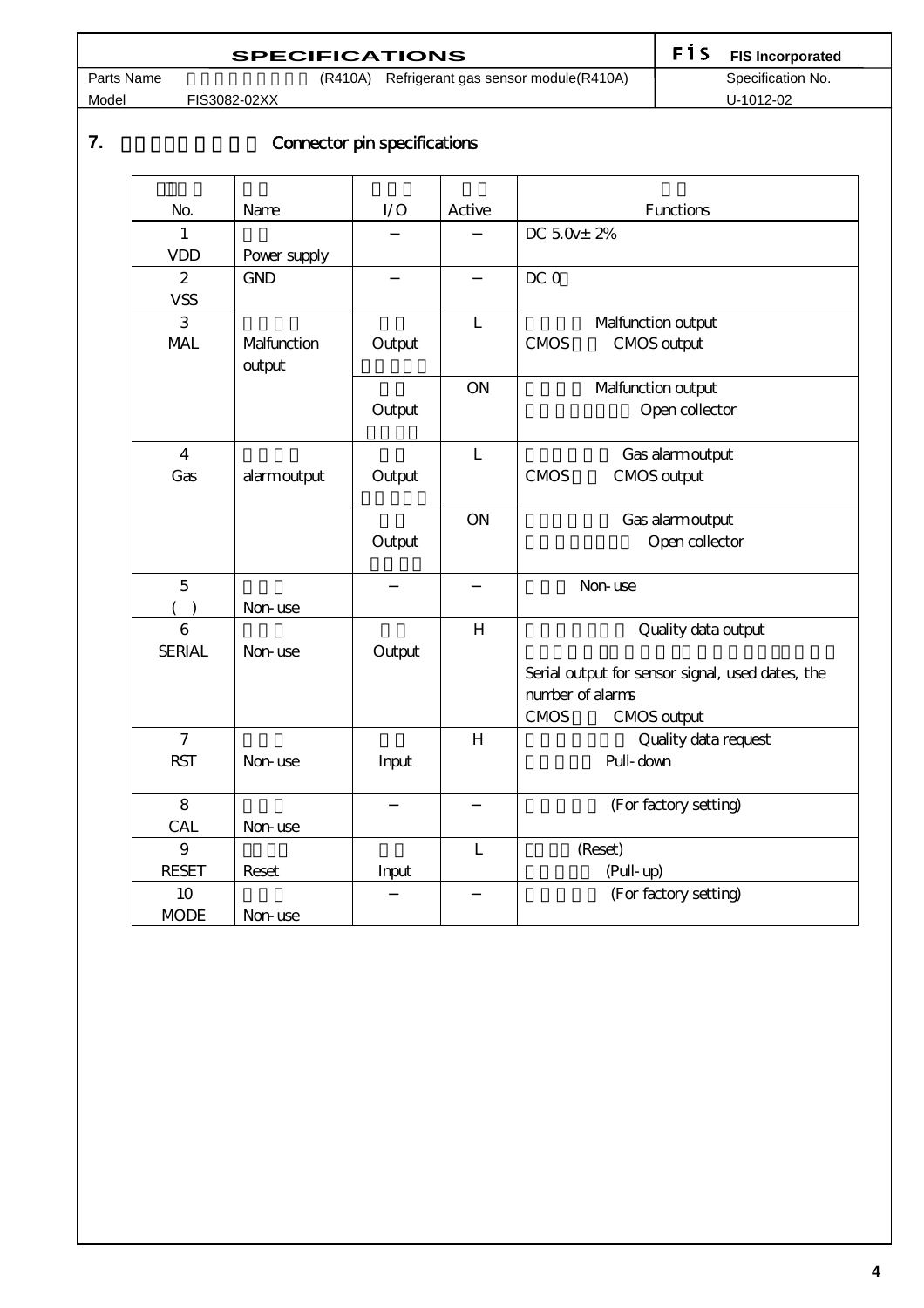| <b>SPECIFICATIONS</b> |                                               |  | <b>FIS Incorporated</b> |
|-----------------------|-----------------------------------------------|--|-------------------------|
| Parts Name            | (R410A) Refrigerant gas sensor module (R410A) |  | Specification No.       |
| Model                 | FIS3082-02XX                                  |  | U-1012-02               |

### **7.** コネクタ入出力仕様 Connector pin specifications

| No.              | Name                  | $\rm LO$ | Active       | Functions                                        |
|------------------|-----------------------|----------|--------------|--------------------------------------------------|
| $\mathbf{1}$     |                       |          |              | DC $50 + 2%$                                     |
| <b>VDD</b>       | Power supply          |          |              |                                                  |
| $\boldsymbol{2}$ | <b>GND</b>            |          |              | DC 0                                             |
| <b>VSS</b>       |                       |          |              |                                                  |
| 3                |                       |          | $\mathbf{L}$ | Malfunction output                               |
| <b>MAL</b>       | Malfunction<br>output | Output   |              | CMOS output<br><b>CMOS</b>                       |
|                  |                       |          | <b>ON</b>    | Malfunction output                               |
|                  |                       | Output   |              | Open collector                                   |
|                  |                       |          |              |                                                  |
| $\overline{4}$   |                       |          | L            | Gas alarmoutput                                  |
| Gas              | alarmoutput           | Output   |              | <b>CMOS</b><br>CMOS output                       |
|                  |                       |          |              |                                                  |
|                  |                       |          | <b>ON</b>    | Gas alarmoutput                                  |
|                  |                       | Output   |              | Open collector                                   |
|                  |                       |          |              |                                                  |
| $\mathbf 5$      |                       |          |              | Non-use                                          |
|                  | Non-use               |          |              |                                                  |
| 6                |                       |          | H            | Quality data output                              |
| <b>SERIAL</b>    | Non-use               | Output   |              |                                                  |
|                  |                       |          |              | Serial output for sensor signal, used dates, the |
|                  |                       |          |              | number of alarms                                 |
|                  |                       |          |              | <b>CMOS</b><br>CMOS output                       |
| $\overline{7}$   |                       |          | H            | Quality data request                             |
| <b>RST</b>       | Non-use               | Input    |              | Pull-down                                        |
| 8                |                       |          |              | (For factory setting)                            |
| CAL              | Non-use               |          |              |                                                  |
| 9                |                       |          | L            | (Reset)                                          |
| <b>RESET</b>     | Reset                 | Input    |              | (Pull-up)                                        |
| 10               |                       |          |              | (For factory setting)                            |
| <b>MODE</b>      | Non-use               |          |              |                                                  |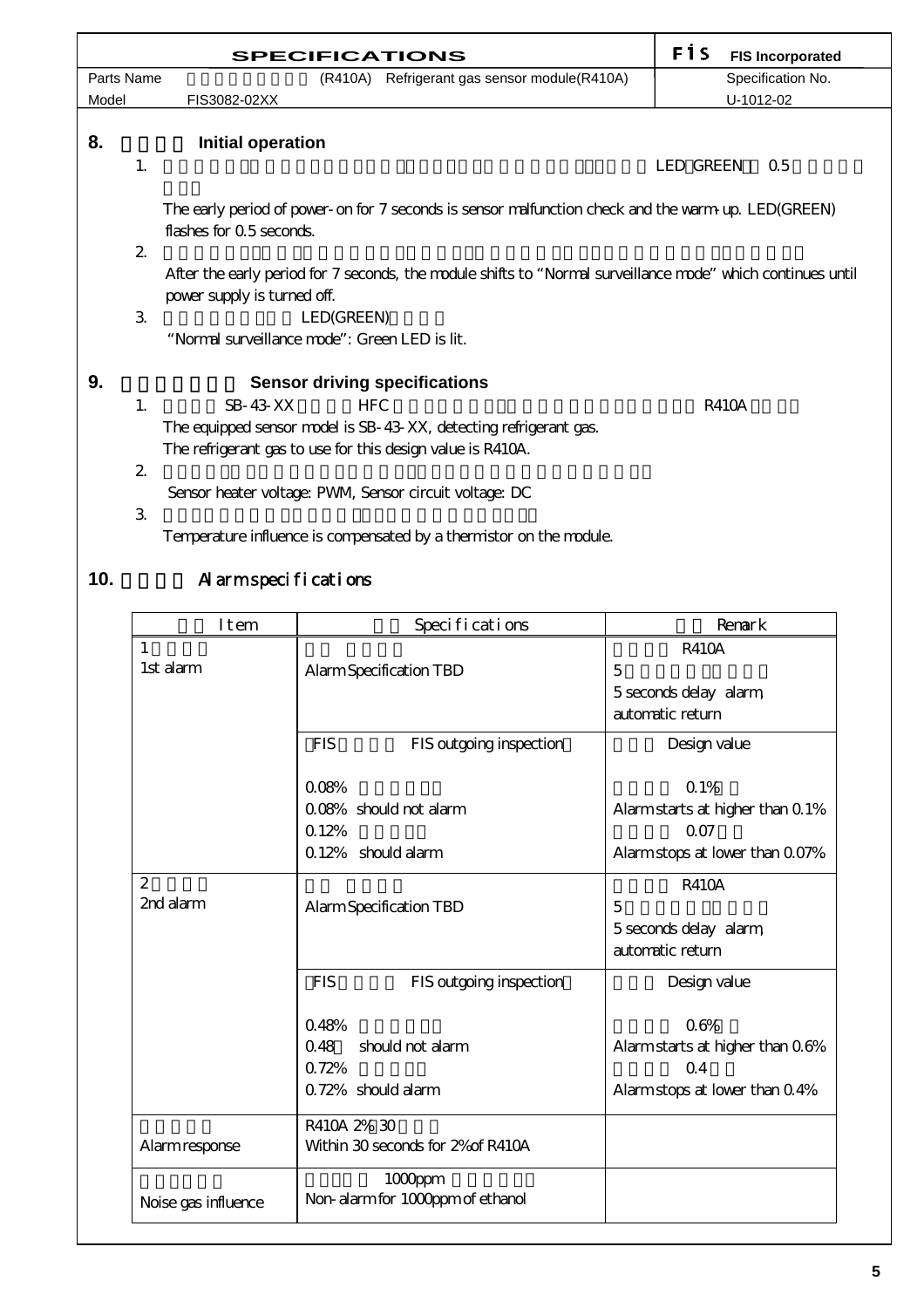|                | <b>SPECIFICATIONS</b>                                                                                                                      | FİS<br><b>FIS Incorporated</b> |
|----------------|--------------------------------------------------------------------------------------------------------------------------------------------|--------------------------------|
| Parts Name     | (R410A) Refrigerant gas sensor module(R410A)                                                                                               | Specification No.              |
| Model          | FIS3082-02XX                                                                                                                               | U-1012-02                      |
| 8.             | Initial operation                                                                                                                          |                                |
| 1.             |                                                                                                                                            | <b>LED GREEN</b><br>0.5        |
| $\mathbf{2}$   | The early period of power- on for 7 seconds is sensor malfunction check and the warm up. LED(GREEN)<br>flashes for $0.5$ seconds.          |                                |
|                | After the early period for 7 seconds, the module shifts to "Normal surveillance mode" which continues until<br>power supply is turned off. |                                |
| $\mathfrak{B}$ | LED(GREEN)                                                                                                                                 |                                |
|                | "Normal surveillance mode": Green LED is lit.                                                                                              |                                |
| 9.             | <b>Sensor driving specifications</b>                                                                                                       |                                |
| 1.             | SB-43 XX<br><b>HFC</b>                                                                                                                     | <b>R410A</b>                   |
|                | The equipped sensor model is SB-43-XX, detecting refrigerant gas.                                                                          |                                |
|                | The refrigerant gas to use for this design value is R410A.                                                                                 |                                |
| $\mathbf{2}$   |                                                                                                                                            |                                |
|                | Sensor heater voltage: PVM, Sensor circuit voltage: DC                                                                                     |                                |
| 3              |                                                                                                                                            |                                |
|                | Temperature influence is compensated by a thermistor on the module.                                                                        |                                |

# 10. **Alarm specifications**

| Item                      | Specifications                        | Renark                          |
|---------------------------|---------------------------------------|---------------------------------|
| $\mathbf{1}$<br>1st alarm |                                       | <b>R410A</b><br>5               |
|                           | Alarm Specification TBD               | 5 seconds delay alarm           |
|                           |                                       | automatic return                |
|                           |                                       |                                 |
|                           | <b>FIS</b><br>FIS outgoing inspection | Design value                    |
|                           | 0.08%                                 | Q 1%                            |
|                           | 0.08% should not alarm                | Alarmstarts at higher than 0.1% |
|                           | 0.12%                                 | 0.07                            |
|                           | 0.12% should alarm                    | Alarmstops at lower than 0.07%  |
| 2                         |                                       | <b>R410A</b>                    |
| 2nd alarm                 | Alarm Specification TBD               | 5                               |
|                           |                                       | 5 seconds delay alarm           |
|                           |                                       | automatic return                |
|                           | <b>FIS</b><br>FIS outgoing inspection | Design value                    |
|                           | 0.48%                                 | 0.6%                            |
|                           | should not alarm<br>0.48              | Alarmstarts at higher than 0.6% |
|                           | 0.72%                                 | 0 <sub>4</sub>                  |
|                           | 0.72% should alarm                    | Alarmstops at lower than 0.4%   |
|                           | R410A 2% 30                           |                                 |
| Alarm response            | Within 30 seconds for 2% of R410A     |                                 |
|                           | 1000ppm                               |                                 |
| Noise gas influence       | Non-alarm for 1000ppm of ethanol      |                                 |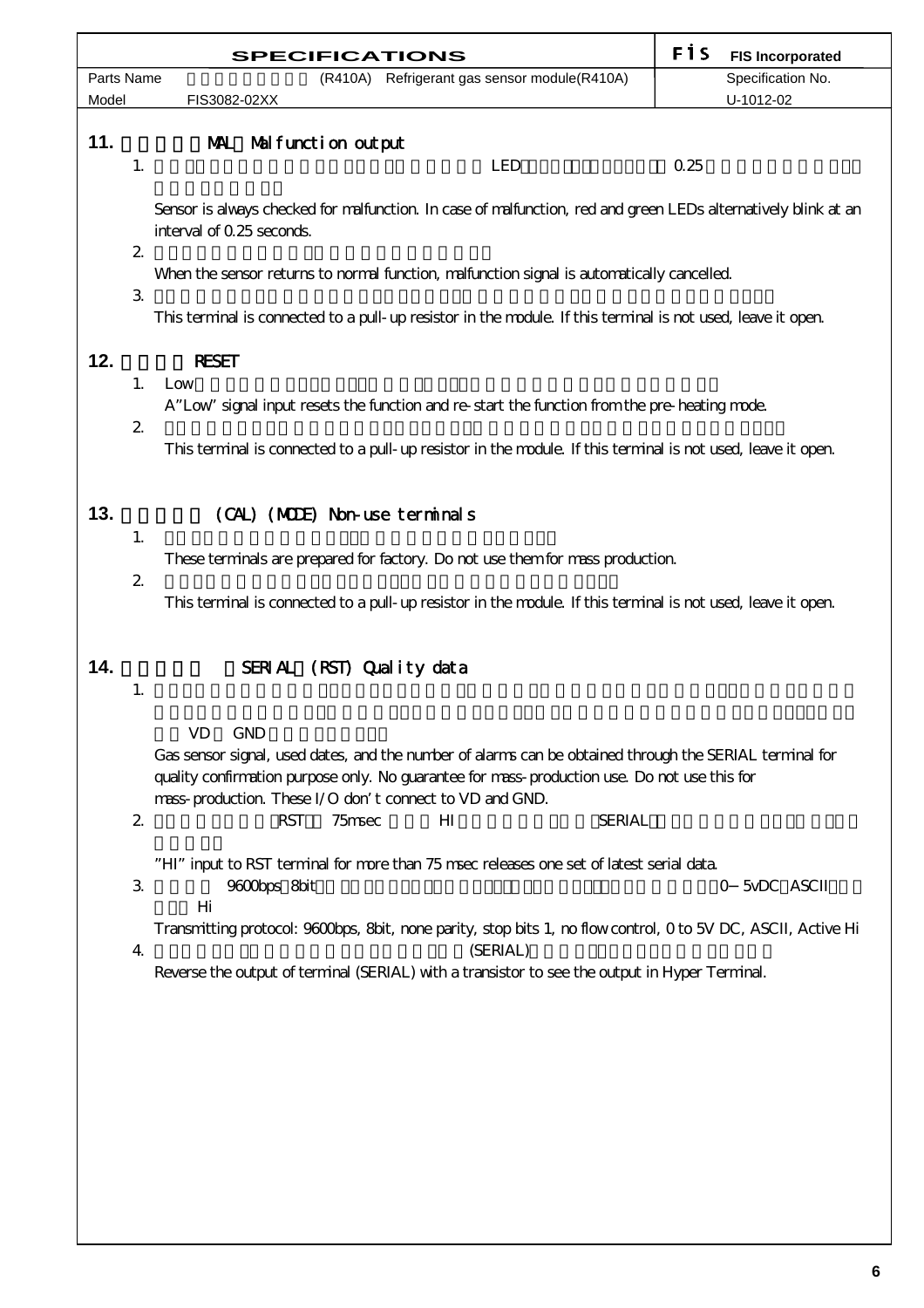|            | <b>SPECIFICATIONS</b>                                                                                                                                                                                                                                                                 | <b>F</b> is<br><b>FIS Incorporated</b> |
|------------|---------------------------------------------------------------------------------------------------------------------------------------------------------------------------------------------------------------------------------------------------------------------------------------|----------------------------------------|
| Parts Name | (R410A) Refrigerant gas sensor module(R410A)                                                                                                                                                                                                                                          | Specification No.                      |
| Model      | FIS3082-02XX                                                                                                                                                                                                                                                                          | U-1012-02                              |
| 11.        | MAL Malfunction output<br>1.<br><b>LED</b>                                                                                                                                                                                                                                            | 0.25                                   |
|            |                                                                                                                                                                                                                                                                                       |                                        |
|            | Sensor is always checked for malfunction. In case of malfunction, red and green LEDs alternatively blink at an<br>interval of 0.25 seconds.<br>$\mathbf{2}$                                                                                                                           |                                        |
|            | When the sensor returns to normal function, malfunction signal is automatically cancelled.<br>$\mathfrak{Z}$                                                                                                                                                                          |                                        |
|            | This terminal is connected to a pull-up resistor in the module. If this terminal is not used, leave it open.                                                                                                                                                                          |                                        |
| 12.        | <b>RESET</b><br>1.<br>Low                                                                                                                                                                                                                                                             |                                        |
|            | A" Low" signal input resets the function and re-start the function from the pre-heating mode.                                                                                                                                                                                         |                                        |
|            | $\mathbf{z}$<br>This terminal is connected to a pull- up resistor in the module. If this terminal is not used, leave it open.                                                                                                                                                         |                                        |
| 13.        | (CAL) (MODE) Non-use terminals<br>1.                                                                                                                                                                                                                                                  |                                        |
|            | These terminals are prepared for factory. Do not use them for mass production.<br>$2\,$                                                                                                                                                                                               |                                        |
|            | This terminal is connected to a pull-up resistor in the module. If this terminal is not used, leave it open.                                                                                                                                                                          |                                        |
| 14.        | SERIAL (RST) Cuality data<br>1.                                                                                                                                                                                                                                                       |                                        |
|            | <b>GND</b><br>VD<br>Gas sensor signal, used dates, and the number of alarms can be obtained through the SERIAL terminal for<br>quality confirmation purpose only. No guarantee for mass-production use. Do not use this for<br>mass-production These I/O don t connect to VD and GND. |                                        |
|            | $\mathbf{z}$<br><b>RST</b><br>H <sub>I</sub><br>75msec<br><b>SERIAL</b>                                                                                                                                                                                                               |                                        |
|            | "HI" input to RST terminal for more than 75 msec releases one set of latest serial data.<br>$\mathcal{S}$<br>9600bps 8bit<br>Hi                                                                                                                                                       | 5vDC ASCII<br>0                        |
|            | Transmitting protocol: 9600bps, 8bit, none parity, stop bits 1, no flow control, 0 to 5V DC, ASCII, Active Hi<br>(SERIAL)<br>$\overline{4}$                                                                                                                                           |                                        |
|            | Reverse the output of terminal (SERIAL) with a transistor to see the output in Hyper Terminal.                                                                                                                                                                                        |                                        |
|            |                                                                                                                                                                                                                                                                                       |                                        |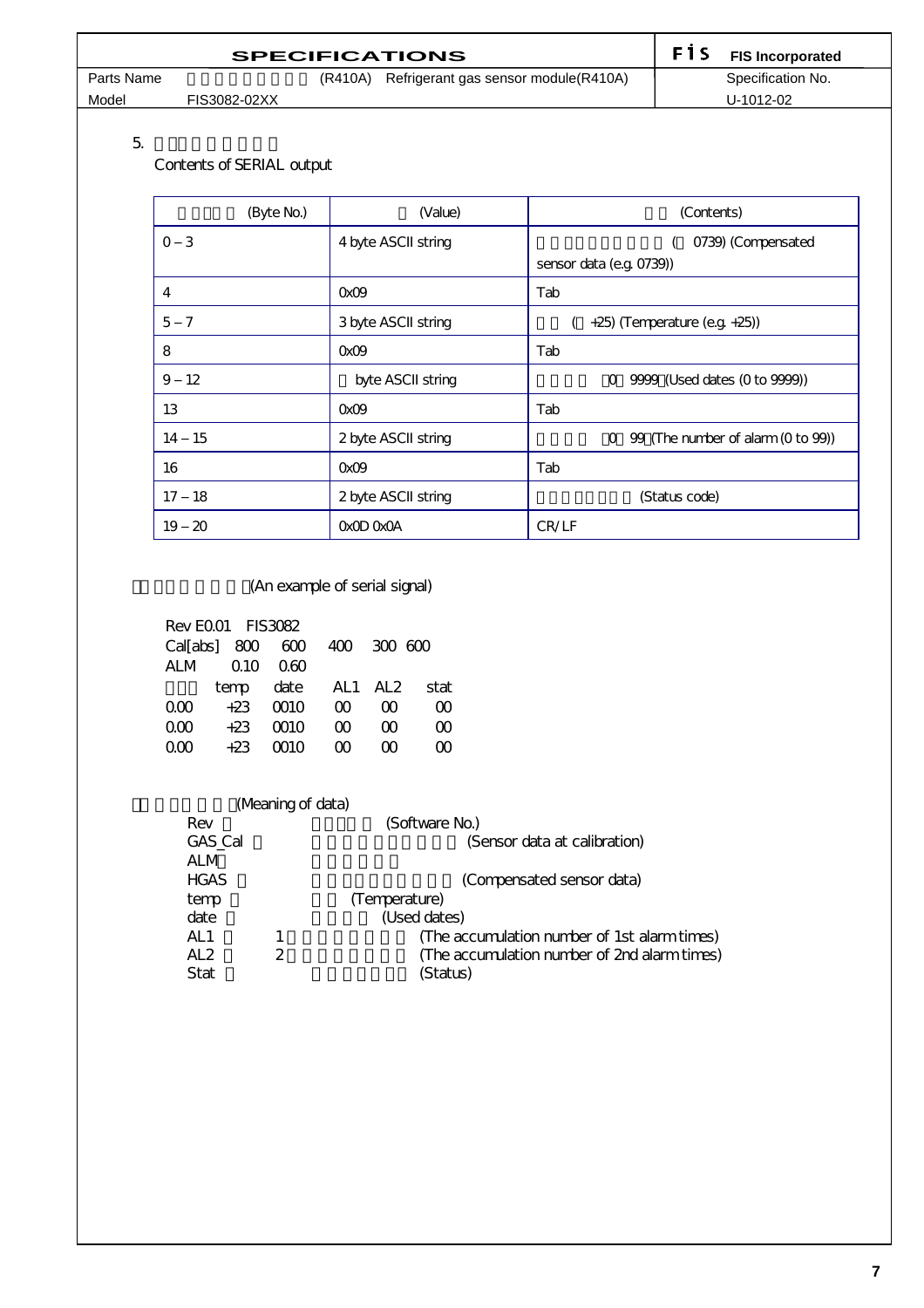|            | <b>SPECIFICATIONS</b>                         | <b>F15</b> FIS Incorporated |
|------------|-----------------------------------------------|-----------------------------|
| Parts Name | (R410A) Refrigerant gas sensor module (R410A) | Specification No.           |
| Model      | FIS3082-02XX                                  | U-1012-02                   |

 $5.$ 

Contents of SERIAL output

| (Byte No.)             | (Value)             | (Contents)                                  |
|------------------------|---------------------|---------------------------------------------|
| -3<br>0                | 4 byte ASCII string | 0739) (Compensated                          |
|                        |                     | sensor data (e.g. 0739))                    |
| 4                      | $Q \times Q$        | Tab                                         |
| 5<br>7                 | 3 byte ASCII string | $+25$ ) (Temperature (e.g. $+25$ ))         |
| 8                      | OxO9                | Tab                                         |
| 9<br>$12 \overline{ }$ | byte ASCII string   | 9999 (Used dates (0 to 9999))<br>0          |
| 13                     | Q <sub>k</sub> OP   | Tab                                         |
| 14<br>15               | 2 byte ASCII string | $0\quad$ 99 (The number of alarm (0 to 99)) |
| 16                     | $Q \times Q$        | Tab                                         |
| 18<br>17               | 2 byte ASCII string | (Status code)                               |
| 19<br>20               | OxOD OxOA           | CR/LF                                       |

### (An example of serial signal)

| Rev EQ01 FIS3082 |                    |      |     |         |      |
|------------------|--------------------|------|-----|---------|------|
|                  | $Cal[abs]$ 800 600 |      | 400 | 300 KM  |      |
| ALM.             | $\Omega$ 10        | റക   |     |         |      |
|                  | temp               | date |     | AL1 AL2 | stat |
| റന               | $+23$              | ന്നറ | ന   | ന       | m    |
| റന               | $+23$              | ന്നറ | m   | ന       | m    |
|                  | +23                | ന്നറ | ന   | η       |      |

|   | (Software No.)                               |
|---|----------------------------------------------|
|   | (Sensor data at calibration)                 |
|   |                                              |
|   | (Compensated sensor data)                    |
|   | (Temperature)                                |
|   | (Used dates)                                 |
|   | (The accumulation number of 1st alarm times) |
| 2 | (The accumulation number of 2nd alarm times) |
|   | (Status)                                     |
|   | (Meaning of data)<br>GAS <sub>_Cal</sub>     |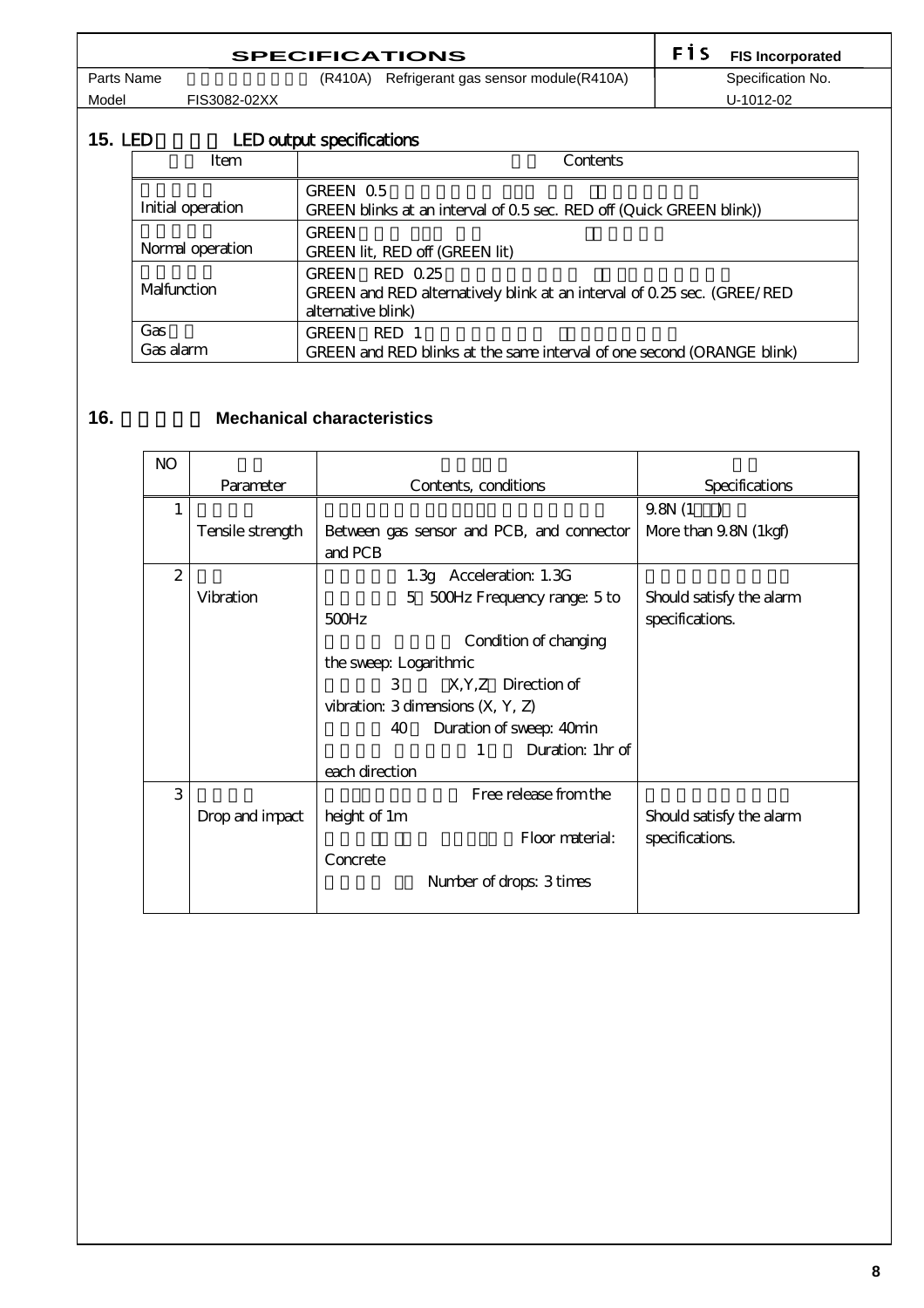| <b>SPECIFICATIONS</b> |              |                                               |  | <b>FIS</b> FIS Incorporated |
|-----------------------|--------------|-----------------------------------------------|--|-----------------------------|
| Parts Name            |              | (R410A) Refrigerant gas sensor module (R410A) |  | Specification No.           |
| Model                 | FIS3082-02XX |                                               |  | U-1012-02                   |

### **15. LED** LED output specifications

| Item                                                                                                  | Contents                                                                                                                    |  |  |
|-------------------------------------------------------------------------------------------------------|-----------------------------------------------------------------------------------------------------------------------------|--|--|
| GREEN 05<br>Initial operation<br>GREEN blinks at an interval of 0.5 sec. RED off (Quick GREEN blink)) |                                                                                                                             |  |  |
| Normal operation                                                                                      | <b>GREEN</b><br>GREEN lit, RED off (GREEN lit)                                                                              |  |  |
| Malfunction                                                                                           | <b>GREEN</b><br>$RED$ 0.25<br>GREEN and RED alternatively blink at an interval of 0.25 sec. (GREE/RED<br>alternative blink) |  |  |
| Gas<br>Gas alarm                                                                                      | RED <sub>1</sub><br>GREEN<br>GREEN and RED blinks at the same interval of one second (ORANGE blink)                         |  |  |

# 16. **Mechanical characteristics**

| NO             |                  |                                           |                          |
|----------------|------------------|-------------------------------------------|--------------------------|
|                | Parameter        | Contents, conditions                      | Specifications           |
|                |                  |                                           | 9.8N(1)                  |
|                | Tensile strength | Between gas sensor and PCB, and connector | More than 9.8N (1kgf)    |
|                |                  | and PCB                                   |                          |
| $\overline{c}$ |                  | 1.3g Acceleration: 1.3G                   |                          |
|                | Vibration        | 5 500Hz Frequency range: 5 to             | Should satisfy the alarm |
|                |                  | 500Hz                                     | specifications.          |
|                |                  | Condition of changing                     |                          |
|                |                  | the sweep: Logarithmic                    |                          |
|                |                  | X.Y.Z Direction of<br>3                   |                          |
|                |                  | vibration: 3 dimensions $(X, Y, Z)$       |                          |
|                |                  | 40<br>Duration of sweep: 40min            |                          |
|                |                  | Duration: 1hr of<br>1                     |                          |
|                |                  | each direction                            |                          |
| 3              |                  | Free release from the                     |                          |
|                | Drop and impact  | height of 1m                              | Should satisfy the alarm |
|                |                  | Floor material:                           | specifications.          |
|                |                  | Concrete                                  |                          |
|                |                  | Number of drops: 3 times                  |                          |
|                |                  |                                           |                          |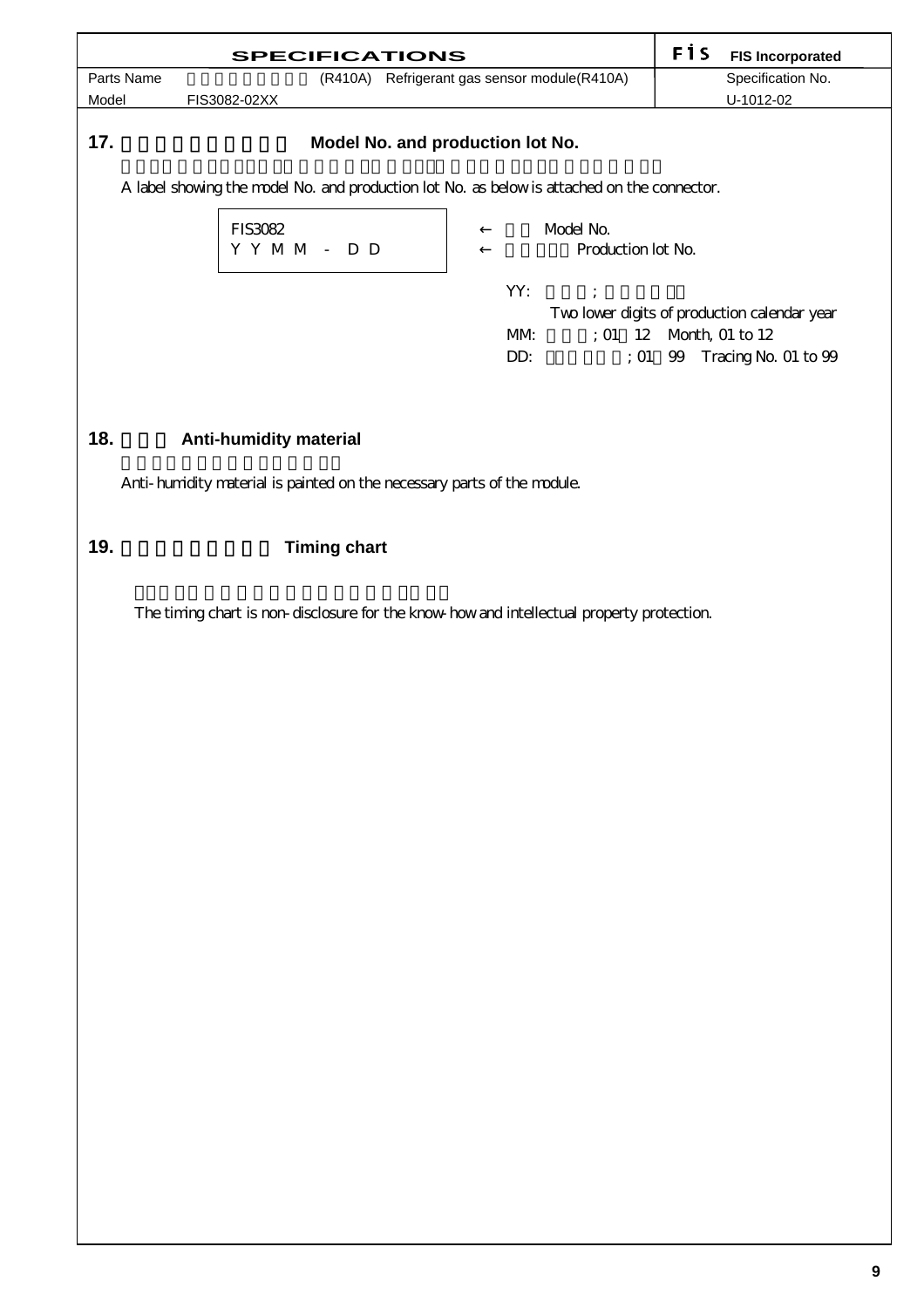|                     | <b>SPECIFICATIONS</b>                                                                       |                                              | FİS<br><b>FIS Incorporated</b>               |
|---------------------|---------------------------------------------------------------------------------------------|----------------------------------------------|----------------------------------------------|
| Parts Name<br>Model | FIS3082-02XX                                                                                | (R410A) Refrigerant gas sensor module(R410A) | Specification No.<br>U-1012-02               |
| 17.                 |                                                                                             | Model No. and production lot No.             |                                              |
|                     | A label showing the model No. and production lot No. as below is attached on the connector. |                                              |                                              |
|                     |                                                                                             |                                              |                                              |
|                     | FIS3082<br>$Y Y M M - D D$                                                                  | Model No.<br>Production lot No.              |                                              |
|                     |                                                                                             |                                              |                                              |
|                     |                                                                                             | YY:                                          |                                              |
|                     |                                                                                             |                                              | Two lower digits of production calendar year |
|                     |                                                                                             | MM                                           | ; 01 12 Month, 01 to 12                      |
|                     |                                                                                             | DD:                                          | ; 01 99 Tracing No. 01 to 99                 |
|                     |                                                                                             |                                              |                                              |
| 18.                 | Anti-humidity material                                                                      |                                              |                                              |
|                     |                                                                                             |                                              |                                              |
|                     | Anti-hunidity material is painted on the necessary parts of the module.                     |                                              |                                              |
|                     |                                                                                             |                                              |                                              |
| 19.                 | <b>Timing chart</b>                                                                         |                                              |                                              |
|                     |                                                                                             |                                              |                                              |
|                     | The tining chart is non-disclosure for the know-how and intellectual property protection.   |                                              |                                              |
|                     |                                                                                             |                                              |                                              |
|                     |                                                                                             |                                              |                                              |
|                     |                                                                                             |                                              |                                              |
|                     |                                                                                             |                                              |                                              |
|                     |                                                                                             |                                              |                                              |
|                     |                                                                                             |                                              |                                              |
|                     |                                                                                             |                                              |                                              |
|                     |                                                                                             |                                              |                                              |
|                     |                                                                                             |                                              |                                              |
|                     |                                                                                             |                                              |                                              |
|                     |                                                                                             |                                              |                                              |
|                     |                                                                                             |                                              |                                              |
|                     |                                                                                             |                                              |                                              |
|                     |                                                                                             |                                              |                                              |
|                     |                                                                                             |                                              |                                              |
|                     |                                                                                             |                                              |                                              |
|                     |                                                                                             |                                              |                                              |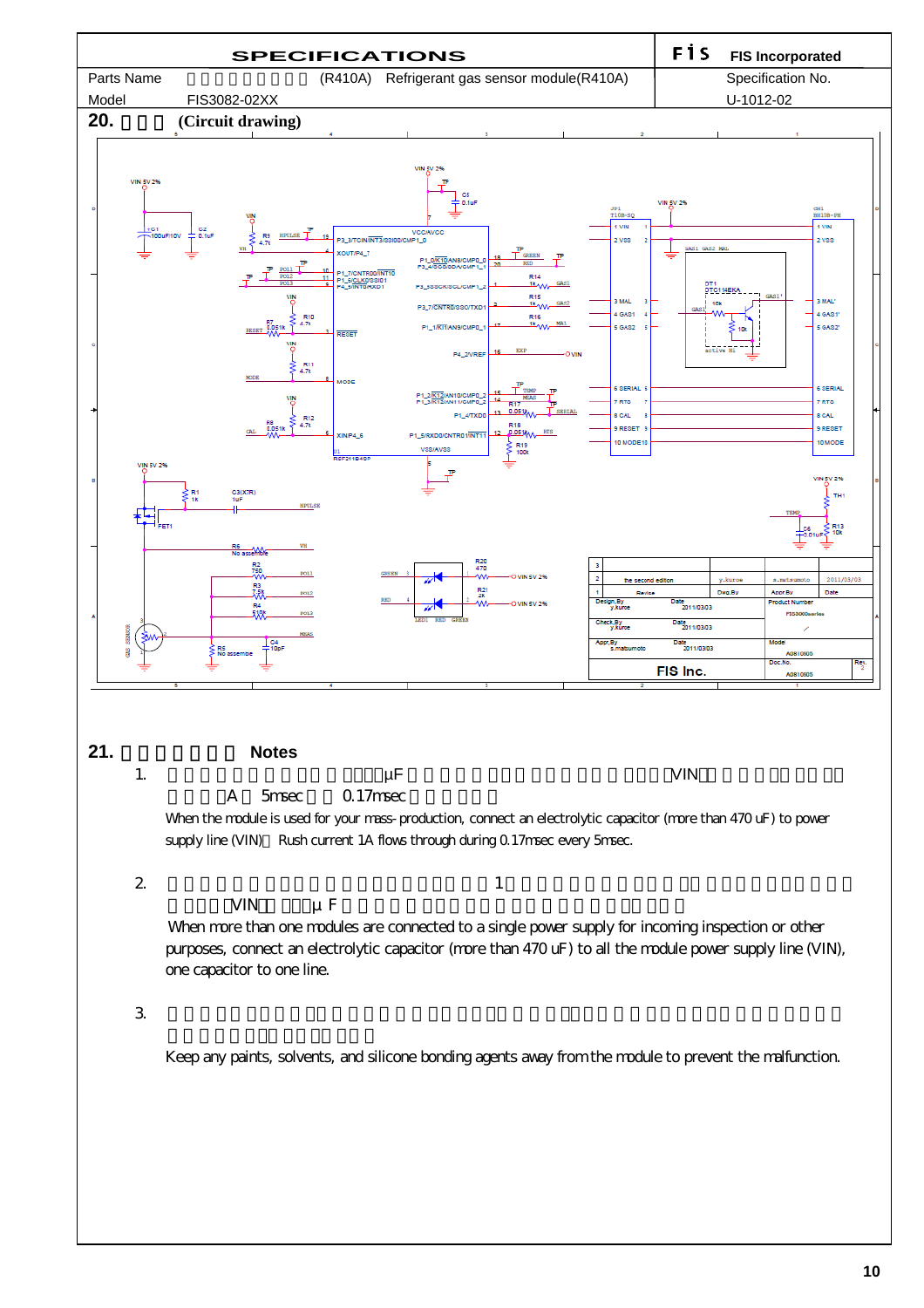

**<sup>10</sup>**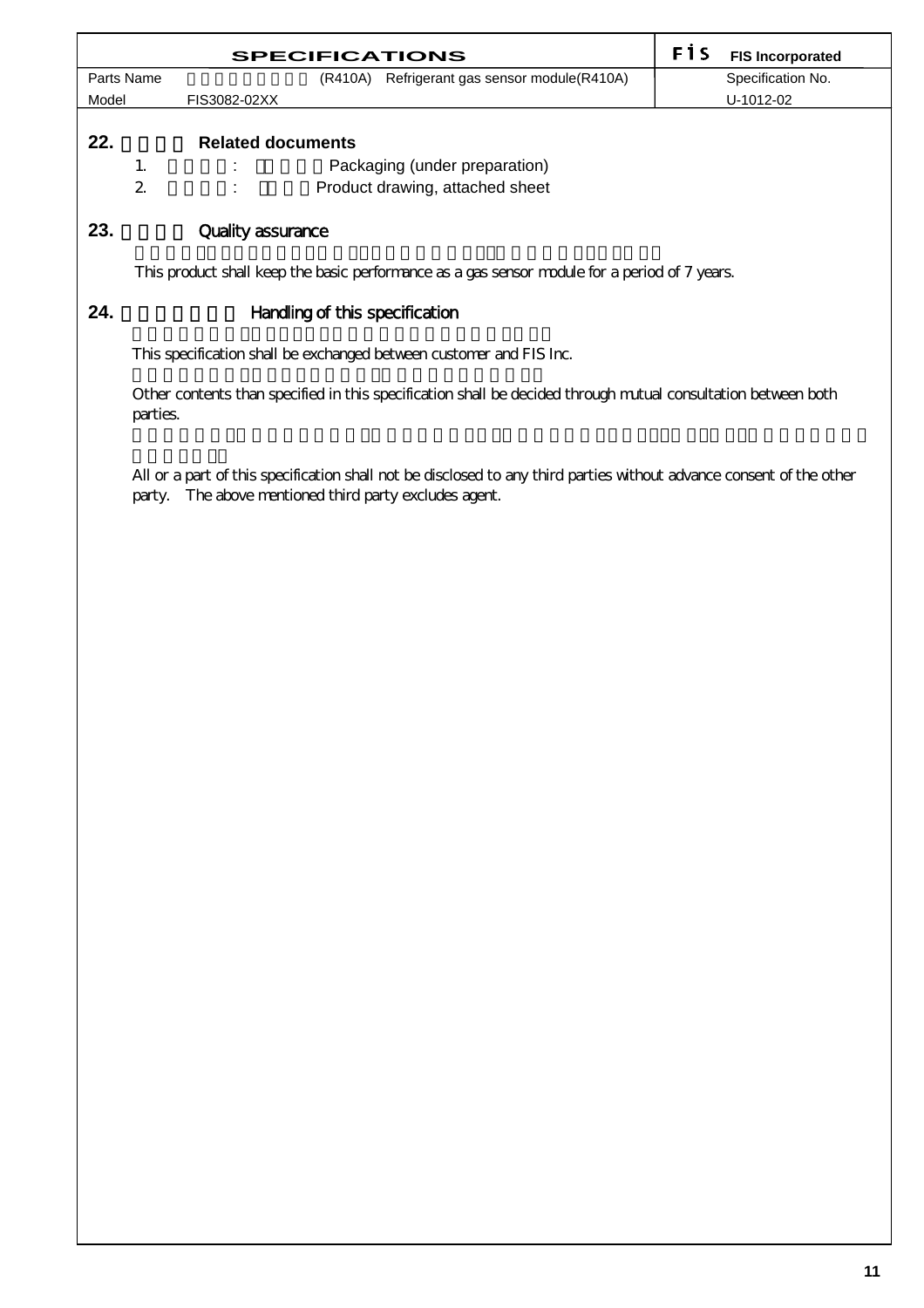|                | <b>SPECIFICATIONS</b>                                                                                                                                                   | FİS<br><b>FIS Incorporated</b> |
|----------------|-------------------------------------------------------------------------------------------------------------------------------------------------------------------------|--------------------------------|
| Parts Name     | (R410A) Refrigerant gas sensor module(R410A)                                                                                                                            | Specification No.              |
| Model          | FIS3082-02XX                                                                                                                                                            | U-1012-02                      |
| 22.            | <b>Related documents</b>                                                                                                                                                |                                |
| 1.             | Packaging (under preparation)                                                                                                                                           |                                |
| $\overline{2}$ | Product drawing, attached sheet                                                                                                                                         |                                |
| 23.            | <b>Quality assurance</b><br>This product shall keep the basic performance as a gas sensor module for a period of 7 years.                                               |                                |
| 24.            | Handling of this specification                                                                                                                                          |                                |
|                | This specification shall be exchanged between customer and FIS Inc.                                                                                                     |                                |
|                | Other contents than specified in this specification shall be decided through mutual consultation between both<br>parties.                                               |                                |
| party.         | All or a part of this specification shall not be disclosed to any third parties without advance consent of the other<br>The above mentioned third party excludes agent. |                                |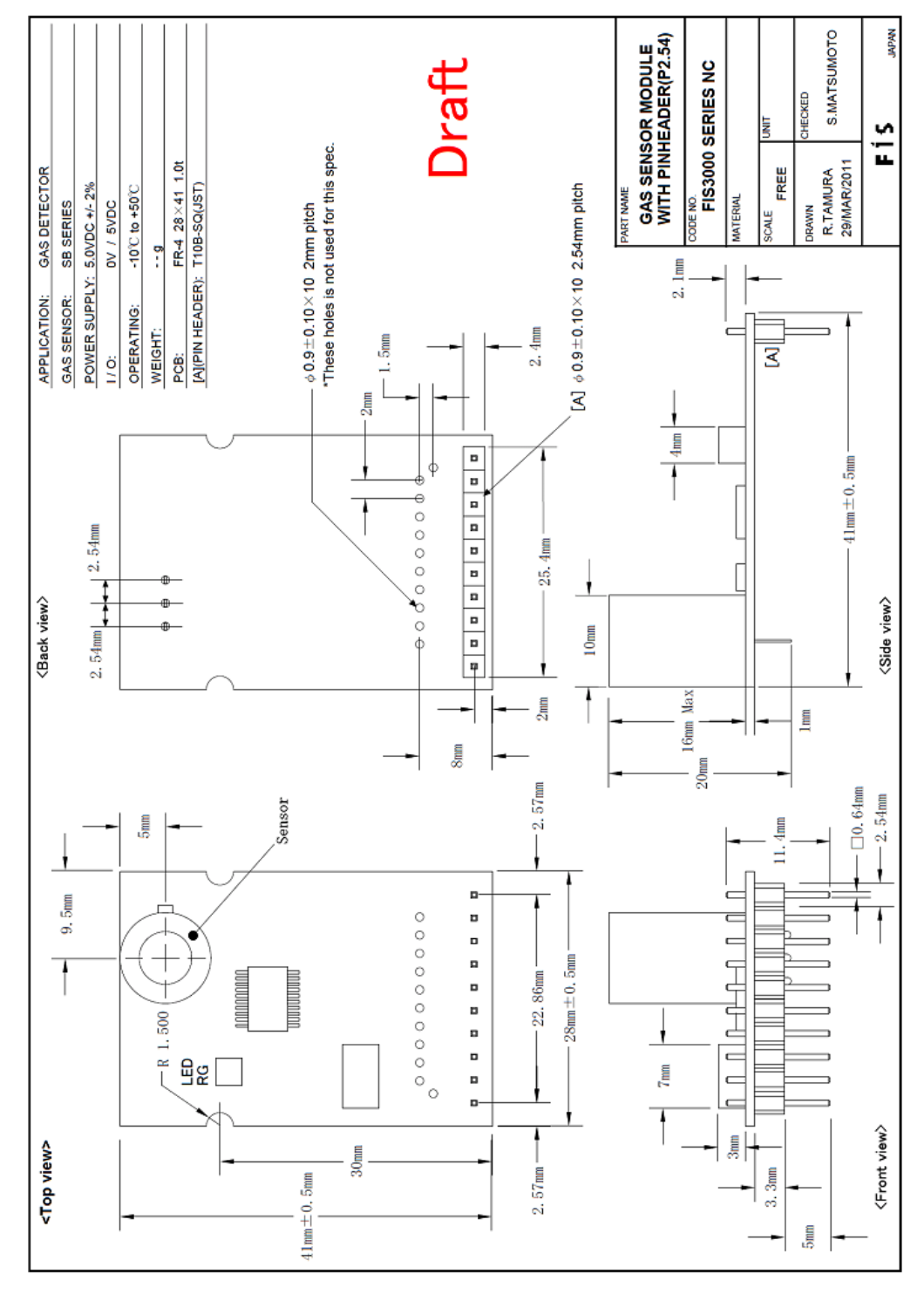